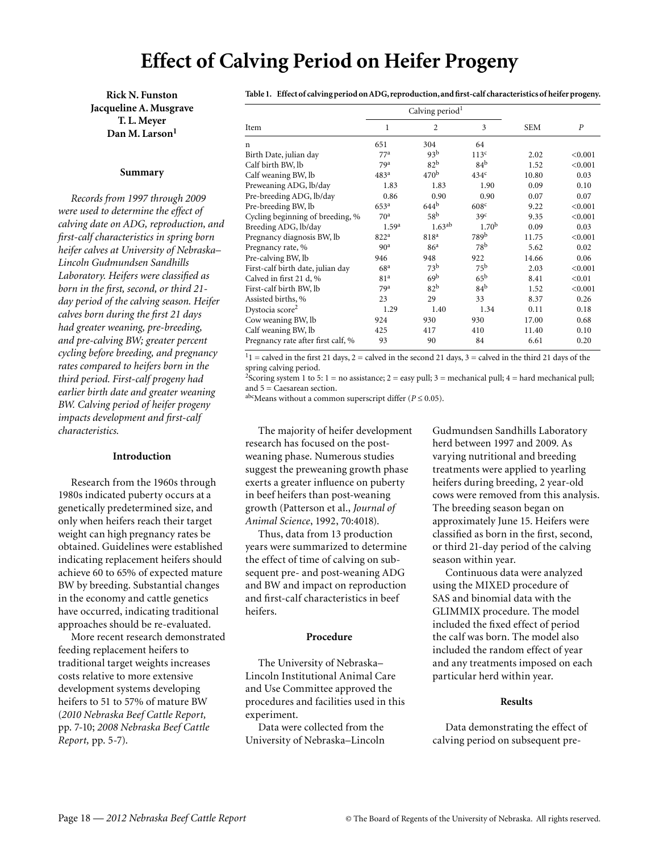# **Effect of Calving Period on Heifer Progeny**

**Rick N. Funston Jacqueline A. Musgrave T. L. Meyer Dan M. Larson<sup>1</sup>**

#### **Summary**

*Records from 1997 through 2009 were used to determine the effect of calving date on ADG, reproduction, and first-calf characteristics in spring born heifer calves at University of Nebraska– Lincoln Gudmundsen Sandhills Laboratory. Heifers were classified as born in the first, second, or third 21 day period of the calving season. Heifer calves born during the first 21 days had greater weaning, pre-breeding, and pre-calving BW; greater percent cycling before breeding, and pregnancy rates compared to heifers born in the third period. First-calf progeny had earlier birth date and greater weaning BW. Calving period of heifer progeny impacts development and first-calf characteristics.* 

### **Introduction**

Research from the 1960s through 1980s indicated puberty occurs at a genetically predetermined size, and only when heifers reach their target weight can high pregnancy rates be obtained. Guidelines were established indicating replacement heifers should achieve 60 to 65% of expected mature BW by breeding. Substantial changes in the economy and cattle genetics have occurred, indicating traditional approaches should be re-evaluated.

More recent research demonstrated feeding replacement heifers to traditional target weights increases costs relative to more extensive development systems developing heifers to 51 to 57% of mature BW (*2010 Nebraska Beef Cattle Report,* pp. 7-10; *2008 Nebraska Beef Cattle Report,* pp. 5-7).

**Table 1. Effect of calving period on ADG, reproduction, and first-calf characteristics of heifer progeny.**

|                                    | Calving period <sup>1</sup> |                  |                   |            |         |
|------------------------------------|-----------------------------|------------------|-------------------|------------|---------|
| Item                               | 1                           | $\overline{c}$   | 3                 | <b>SEM</b> | P       |
| n                                  | 651                         | 304              | 64                |            |         |
| Birth Date, julian day             | 77 <sup>a</sup>             | 93 <sup>b</sup>  | 113 <sup>c</sup>  | 2.02       | < 0.001 |
| Calf birth BW, lb                  | 79 <sup>a</sup>             | 82 <sup>b</sup>  | 84 <sup>b</sup>   | 1.52       | < 0.001 |
| Calf weaning BW, lb                | 483 <sup>a</sup>            | 470 <sup>b</sup> | 434 <sup>c</sup>  | 10.80      | 0.03    |
| Preweaning ADG, lb/day             | 1.83                        | 1.83             | 1.90              | 0.09       | 0.10    |
| Pre-breeding ADG, lb/day           | 0.86                        | 0.90             | 0.90              | 0.07       | 0.07    |
| Pre-breeding BW, lb                | 653 <sup>a</sup>            | 644 <sup>b</sup> | 608 <sup>c</sup>  | 9.22       | < 0.001 |
| Cycling beginning of breeding, %   | 70 <sup>a</sup>             | 58 <sup>b</sup>  | 39 <sup>c</sup>   | 9.35       | < 0.001 |
| Breeding ADG, lb/day               | 1.59 <sup>a</sup>           | $1.63^{ab}$      | 1.70 <sup>b</sup> | 0.09       | 0.03    |
| Pregnancy diagnosis BW, lb         | 822 <sup>a</sup>            | 818 <sup>a</sup> | 789b              | 11.75      | < 0.001 |
| Pregnancy rate, %                  | 90 <sup>a</sup>             | 86 <sup>a</sup>  | 78 <sup>b</sup>   | 5.62       | 0.02    |
| Pre-calving BW, lb                 | 946                         | 948              | 922               | 14.66      | 0.06    |
| First-calf birth date, julian day  | 68 <sup>a</sup>             | 73 <sup>b</sup>  | 75 <sup>b</sup>   | 2.03       | < 0.001 |
| Calved in first 21 d, %            | 81 <sup>a</sup>             | 69 <sup>b</sup>  | $65^{\rm b}$      | 8.41       | < 0.01  |
| First-calf birth BW, lb            | 79 <sup>a</sup>             | 82 <sup>b</sup>  | 84 <sup>b</sup>   | 1.52       | < 0.001 |
| Assisted births, %                 | 23                          | 29               | 33                | 8.37       | 0.26    |
| Dystocia score <sup>2</sup>        | 1.29                        | 1.40             | 1.34              | 0.11       | 0.18    |
| Cow weaning BW, lb                 | 924                         | 930              | 930               | 17.00      | 0.68    |
| Calf weaning BW, lb                | 425                         | 417              | 410               | 11.40      | 0.10    |
| Pregnancy rate after first calf, % | 93                          | 90               | 84                | 6.61       | 0.20    |

 $11 =$  calved in the first 21 days, 2 = calved in the second 21 days, 3 = calved in the third 21 days of the spring calving period.

<sup>2</sup>Scoring system 1 to 5: 1 = no assistance; 2 = easy pull; 3 = mechanical pull; 4 = hard mechanical pull; and 5 = Caesarean section.

abcMeans without a common superscript differ ( $P \le 0.05$ ).

The majority of heifer development research has focused on the postweaning phase. Numerous studies suggest the preweaning growth phase exerts a greater influence on puberty in beef heifers than post-weaning growth (Patterson et al., *Journal of Animal Science*, 1992, 70:4018).

Thus, data from 13 production years were summarized to determine the effect of time of calving on subsequent pre- and post-weaning ADG and BW and impact on reproduction and first-calf characteristics in beef heifers.

#### **Procedure**

The University of Nebraska– Lincoln Institutional Animal Care and Use Committee approved the procedures and facilities used in this experiment.

Data were collected from the University of Nebraska–Lincoln Gudmundsen Sandhills Laboratory herd between 1997 and 2009. As varying nutritional and breeding treatments were applied to yearling heifers during breeding, 2 year-old cows were removed from this analysis. The breeding season began on approximately June 15. Heifers were classified as born in the first, second, or third 21-day period of the calving season within year.

Continuous data were analyzed using the MIXED procedure of SAS and binomial data with the GLIMMIX procedure. The model included the fixed effect of period the calf was born. The model also included the random effect of year and any treatments imposed on each particular herd within year.

#### **Results**

Data demonstrating the effect of calving period on subsequent pre